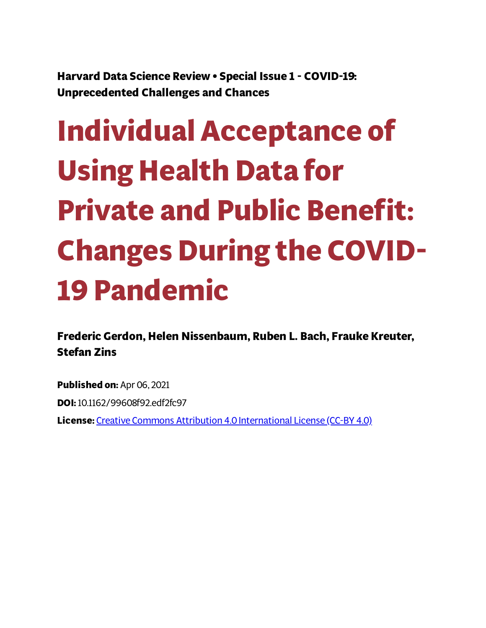**Harvard Data Science Review • Special Issue 1 - COVID-19: Unprecedented Challenges and Chances**

# **Individual Acceptance of Using Health Data for Private and Public Benet: Changes During the COVID-19 Pandemic**

**Frederic Gerdon, Helen Nissenbaum, Ruben L. Bach, Frauke Kreuter, Stefan Zins**

**Published on:** Apr 06, 2021 **DOI:**10.1162/99608f92.edf2fc97 **License:** Creative Commons Attribution 4.0 [International](https://creativecommons.org/licenses/by/4.0/) License (CC-BY 4.0)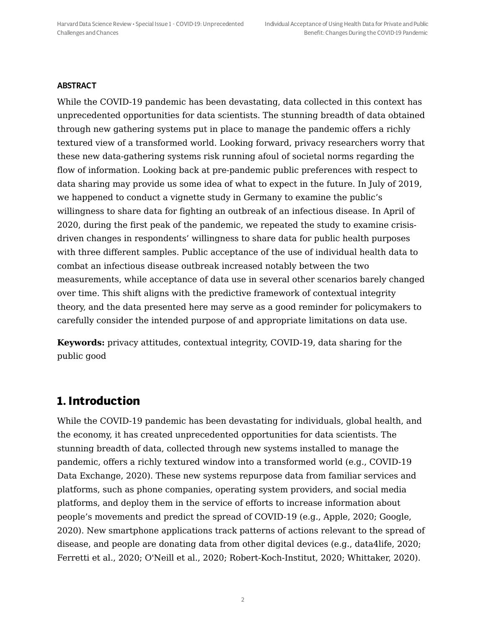#### **ABSTRACT**

While the COVID-19 pandemic has been devastating, data collected in this context has unprecedented opportunities for data scientists. The stunning breadth of data obtained through new gathering systems put in place to manage the pandemic offers a richly textured view of a transformed world. Looking forward, privacy researchers worry that these new data-gathering systems risk running afoul of societal norms regarding the flow of information. Looking back at pre-pandemic public preferences with respect to data sharing may provide us some idea of what to expect in the future. In July of 2019, we happened to conduct a vignette study in Germany to examine the public's willingness to share data for fighting an outbreak of an infectious disease. In April of 2020, during the first peak of the pandemic, we repeated the study to examine crisisdriven changes in respondents' willingness to share data for public health purposes with three different samples. Public acceptance of the use of individual health data to combat an infectious disease outbreak increased notably between the two measurements, while acceptance of data use in several other scenarios barely changed over time. This shift aligns with the predictive framework of contextual integrity theory, and the data presented here may serve as a good reminder for policymakers to carefully consider the intended purpose of and appropriate limitations on data use.

**Keywords:** privacy attitudes, contextual integrity, COVID-19, data sharing for the public good

#### **1. Introduction**

While the COVID-19 pandemic has been devastating for individuals, global health, and the economy, it has created unprecedented opportunities for data scientists. The stunning breadth of data, collected through new systems installed to manage the pandemic, offers a richly textured window into a transformed world (e.g., COVID-19 Data Exchange, 2020). These new systems repurpose data from familiar services and platforms, such as phone companies, operating system providers, and social media platforms, and deploy them in the service of efforts to increase information about people's movements and predict the spread of COVID-19 (e.g., Apple, 2020; Google, 2020). New smartphone applications track patterns of actions relevant to the spread of disease, and people are donating data from other digital devices (e.g., data4life, 2020; Ferretti et al., 2020; O'Neill et al., 2020; Robert-Koch-Institut, 2020; Whittaker, 2020).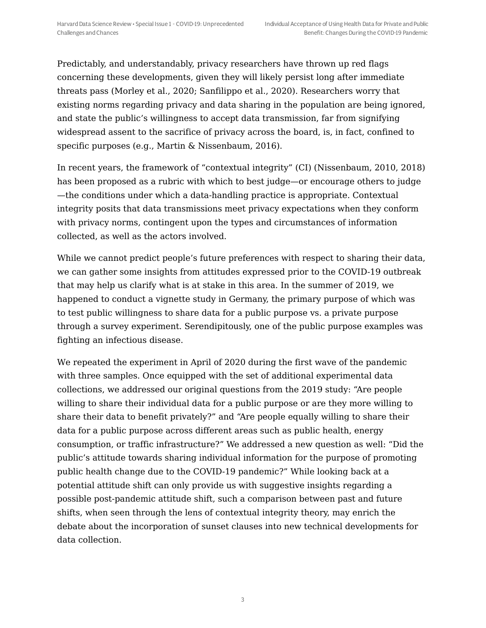Predictably, and understandably, privacy researchers have thrown up red flags concerning these developments, given they will likely persist long after immediate threats pass (Morley et al., 2020; Sanfilippo et al., 2020). Researchers worry that existing norms regarding privacy and data sharing in the population are being ignored, and state the public's willingness to accept data transmission, far from signifying widespread assent to the sacrifice of privacy across the board, is, in fact, confined to specific purposes (e.g., Martin & Nissenbaum, 2016).

In recent years, the framework of "contextual integrity" (CI) (Nissenbaum, 2010, 2018) has been proposed as a rubric with which to best judge—or encourage others to judge —the conditions under which a data-handling practice is appropriate. Contextual integrity posits that data transmissions meet privacy expectations when they conform with privacy norms, contingent upon the types and circumstances of information collected, as well as the actors involved.

While we cannot predict people's future preferences with respect to sharing their data, we can gather some insights from attitudes expressed prior to the COVID-19 outbreak that may help us clarify what is at stake in this area. In the summer of 2019, we happened to conduct a vignette study in Germany, the primary purpose of which was to test public willingness to share data for a public purpose vs. a private purpose through a survey experiment. Serendipitously, one of the public purpose examples was fighting an infectious disease.

We repeated the experiment in April of 2020 during the first wave of the pandemic with three samples. Once equipped with the set of additional experimental data collections, we addressed our original questions from the 2019 study: "Are people willing to share their individual data for a public purpose or are they more willing to share their data to benefit privately?" and "Are people equally willing to share their data for a public purpose across different areas such as public health, energy consumption, or traffic infrastructure?" We addressed a new question as well: "Did the public's attitude towards sharing individual information for the purpose of promoting public health change due to the COVID-19 pandemic?" While looking back at a potential attitude shift can only provide us with suggestive insights regarding a possible post-pandemic attitude shift, such a comparison between past and future shifts, when seen through the lens of contextual integrity theory, may enrich the debate about the incorporation of sunset clauses into new technical developments for data collection.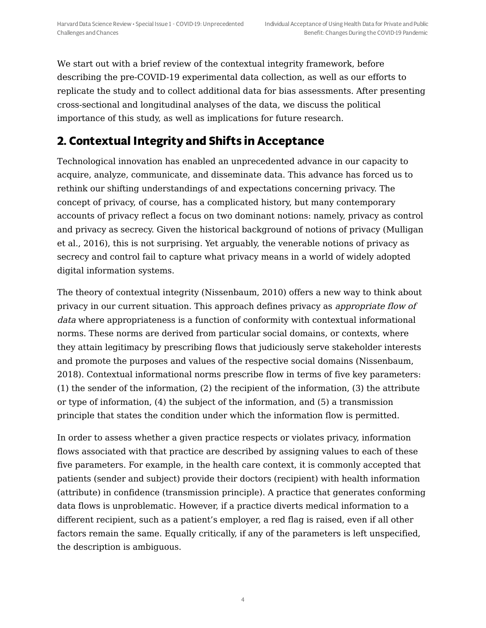We start out with a brief review of the contextual integrity framework, before describing the pre-COVID-19 experimental data collection, as well as our efforts to replicate the study and to collect additional data for bias assessments. After presenting cross-sectional and longitudinal analyses of the data, we discuss the political importance of this study, as well as implications for future research.

# **2. Contextual Integrity and Shifts in Acceptance**

Technological innovation has enabled an unprecedented advance in our capacity to acquire, analyze, communicate, and disseminate data. This advance has forced us to rethink our shifting understandings of and expectations concerning privacy. The concept of privacy, of course, has a complicated history, but many contemporary accounts of privacy reflect a focus on two dominant notions: namely, privacy as control and privacy as secrecy. Given the historical background of notions of privacy (Mulligan et al., 2016), this is not surprising. Yet arguably, the venerable notions of privacy as secrecy and control fail to capture what privacy means in a world of widely adopted digital information systems.

The theory of contextual integrity (Nissenbaum, 2010) offers a new way to think about privacy in our current situation. This approach defines privacy as appropriate flow of data where appropriateness is a function of conformity with contextual informational norms. These norms are derived from particular social domains, or contexts, where they attain legitimacy by prescribing flows that judiciously serve stakeholder interests and promote the purposes and values of the respective social domains (Nissenbaum, 2018). Contextual informational norms prescribe flow in terms of five key parameters: (1) the sender of the information, (2) the recipient of the information, (3) the attribute or type of information, (4) the subject of the information, and (5) a transmission principle that states the condition under which the information flow is permitted.

In order to assess whether a given practice respects or violates privacy, information flows associated with that practice are described by assigning values to each of these five parameters. For example, in the health care context, it is commonly accepted that patients (sender and subject) provide their doctors (recipient) with health information (attribute) in confidence (transmission principle). A practice that generates conforming data flows is unproblematic. However, if a practice diverts medical information to a different recipient, such as a patient's employer, a red flag is raised, even if all other factors remain the same. Equally critically, if any of the parameters is left unspecified, the description is ambiguous.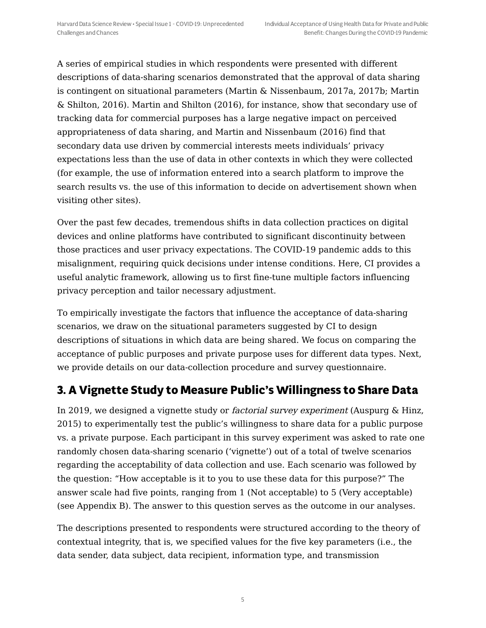A series of empirical studies in which respondents were presented with different descriptions of data-sharing scenarios demonstrated that the approval of data sharing is contingent on situational parameters (Martin & Nissenbaum, 2017a, 2017b; Martin & Shilton, 2016). Martin and Shilton (2016), for instance, show that secondary use of tracking data for commercial purposes has a large negative impact on perceived appropriateness of data sharing, and Martin and Nissenbaum (2016) find that secondary data use driven by commercial interests meets individuals' privacy expectations less than the use of data in other contexts in which they were collected (for example, the use of information entered into a search platform to improve the search results vs. the use of this information to decide on advertisement shown when visiting other sites).

Over the past few decades, tremendous shifts in data collection practices on digital devices and online platforms have contributed to significant discontinuity between those practices and user privacy expectations. The COVID-19 pandemic adds to this misalignment, requiring quick decisions under intense conditions. Here, CI provides a useful analytic framework, allowing us to first fine-tune multiple factors influencing privacy perception and tailor necessary adjustment.

To empirically investigate the factors that influence the acceptance of data-sharing scenarios, we draw on the situational parameters suggested by CI to design descriptions of situations in which data are being shared. We focus on comparing the acceptance of public purposes and private purpose uses for different data types. Next, we provide details on our data-collection procedure and survey questionnaire.

# **3. A Vignette Study to Measure Public's Willingness to Share Data**

In 2019, we designed a vignette study or factorial survey experiment (Auspurg & Hinz, 2015) to experimentally test the public's willingness to share data for a public purpose vs. a private purpose. Each participant in this survey experiment was asked to rate one randomly chosen data-sharing scenario ('vignette') out of a total of twelve scenarios regarding the acceptability of data collection and use. Each scenario was followed by the question: "How acceptable is it to you to use these data for this purpose?" The answer scale had five points, ranging from 1 (Not acceptable) to 5 (Very acceptable) (see Appendix B). The answer to this question serves as the outcome in our analyses.

The descriptions presented to respondents were structured according to the theory of contextual integrity, that is, we specified values for the five key parameters (i.e., the data sender, data subject, data recipient, information type, and transmission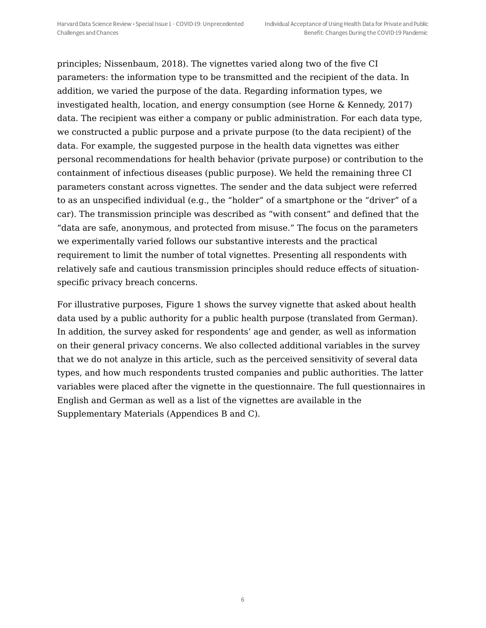principles; Nissenbaum, 2018). The vignettes varied along two of the five CI parameters: the information type to be transmitted and the recipient of the data. In addition, we varied the purpose of the data. Regarding information types, we investigated health, location, and energy consumption (see Horne & Kennedy, 2017) data. The recipient was either a company or public administration. For each data type, we constructed a public purpose and a private purpose (to the data recipient) of the data. For example, the suggested purpose in the health data vignettes was either personal recommendations for health behavior (private purpose) or contribution to the containment of infectious diseases (public purpose). We held the remaining three CI parameters constant across vignettes. The sender and the data subject were referred to as an unspecified individual (e.g., the "holder" of a smartphone or the "driver" of a car). The transmission principle was described as "with consent" and defined that the "data are safe, anonymous, and protected from misuse." The focus on the parameters we experimentally varied follows our substantive interests and the practical requirement to limit the number of total vignettes. Presenting all respondents with relatively safe and cautious transmission principles should reduce effects of situationspecific privacy breach concerns.

For illustrative purposes, Figure 1 shows the survey vignette that asked about health data used by a public authority for a public health purpose (translated from German). In addition, the survey asked for respondents' age and gender, as well as information on their general privacy concerns. We also collected additional variables in the survey that we do not analyze in this article, such as the perceived sensitivity of several data types, and how much respondents trusted companies and public authorities. The latter variables were placed after the vignette in the questionnaire. The full questionnaires in English and German as well as a list of the vignettes are available in the Supplementary Materials (Appendices B and C).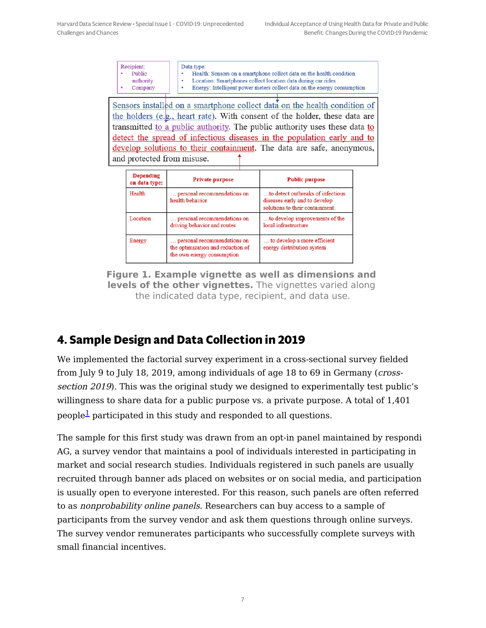|  | Recipient:<br>Public<br>٠<br>authority<br>Company | Data type:<br>Health: Sensors on a smartphone collect data on the health condition<br>Location: Smartphones collect location data during car rides<br>Energy: Intelligent power meters collect data on the energy consumption |
|--|---------------------------------------------------|-------------------------------------------------------------------------------------------------------------------------------------------------------------------------------------------------------------------------------|
|--|---------------------------------------------------|-------------------------------------------------------------------------------------------------------------------------------------------------------------------------------------------------------------------------------|

Sensors installed on a smartphone collect data on the health condition of the holders (e.g., heart rate). With consent of the holder, these data are transmitted to a public authority. The public authority uses these data to detect the spread of infectious diseases in the population early and to develop solutions to their containment. The data are safe, anonymous, and protected from misuse.

| <b>Depending</b><br>on data type: | <b>Private purpose</b>                                                                         | <b>Public purpose</b>                                                                                 |  |
|-----------------------------------|------------------------------------------------------------------------------------------------|-------------------------------------------------------------------------------------------------------|--|
| Health                            | personal recommendations on<br>health behavior                                                 | to detect outbreaks of infectious<br>diseases early and to develop<br>solutions to their containment. |  |
| Location                          | personal recommendations on<br>driving behavior and routes                                     | to develop improvements of the<br>local infrastructure                                                |  |
| Energy                            | personal recommendations on<br>the optimization and reduction of<br>the own energy consumption | to develop a more efficient<br>energy distribution system                                             |  |

**Figure 1. Example vignette as well as dimensions and levels of the other vignettes.** The vignettes varied along the indicated data type, recipient, and data use.

# **4. Sample Design and Data Collection in 2019**

We implemented the factorial survey experiment in a cross-sectional survey fielded from July 9 to July 18, 2019, among individuals of age 18 to 69 in Germany (crosssection 2019). This was the original study we designed to experimentally test public's willingness to share data for a public purpose vs. a private purpose. A total of 1,401 people $\rm{1\!\!2}$  $\rm{1\!\!2}$  $\rm{1\!\!2}$  participated in this study and responded to all questions.

<span id="page-6-0"></span>The sample for this first study was drawn from an opt-in panel maintained by respondi AG, a survey vendor that maintains a pool of individuals interested in participating in market and social research studies. Individuals registered in such panels are usually recruited through banner ads placed on websites or on social media, and participation is usually open to everyone interested. For this reason, such panels are often referred to as nonprobability online panels. Researchers can buy access to a sample of participants from the survey vendor and ask them questions through online surveys. The survey vendor remunerates participants who successfully complete surveys with small financial incentives.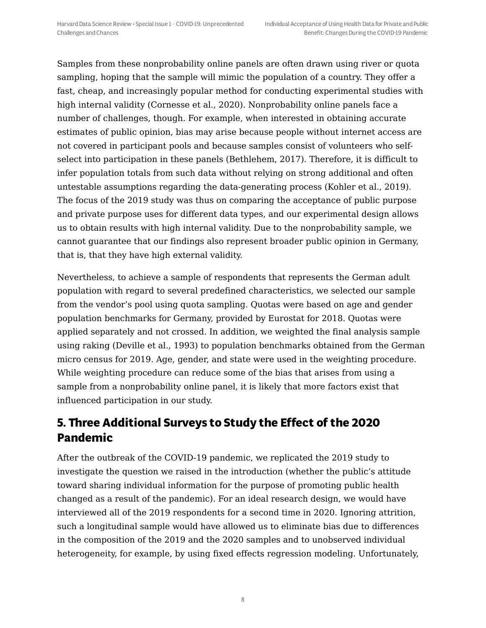Samples from these nonprobability online panels are often drawn using river or quota sampling, hoping that the sample will mimic the population of a country. They offer a fast, cheap, and increasingly popular method for conducting experimental studies with high internal validity (Cornesse et al., 2020). Nonprobability online panels face a number of challenges, though. For example, when interested in obtaining accurate estimates of public opinion, bias may arise because people without internet access are not covered in participant pools and because samples consist of volunteers who selfselect into participation in these panels (Bethlehem, 2017). Therefore, it is difficult to infer population totals from such data without relying on strong additional and often untestable assumptions regarding the data-generating process (Kohler et al., 2019). The focus of the 2019 study was thus on comparing the acceptance of public purpose and private purpose uses for different data types, and our experimental design allows us to obtain results with high internal validity. Due to the nonprobability sample, we cannot guarantee that our findings also represent broader public opinion in Germany, that is, that they have high external validity.

Nevertheless, to achieve a sample of respondents that represents the German adult population with regard to several predefined characteristics, we selected our sample from the vendor's pool using quota sampling. Quotas were based on age and gender population benchmarks for Germany, provided by Eurostat for 2018. Quotas were applied separately and not crossed. In addition, we weighted the final analysis sample using raking (Deville et al., 1993) to population benchmarks obtained from the German micro census for 2019. Age, gender, and state were used in the weighting procedure. While weighting procedure can reduce some of the bias that arises from using a sample from a nonprobability online panel, it is likely that more factors exist that influenced participation in our study.

# **5. Three Additional Surveys to Study the Effect of the 2020 Pandemic**

After the outbreak of the COVID-19 pandemic, we replicated the 2019 study to investigate the question we raised in the introduction (whether the public's attitude toward sharing individual information for the purpose of promoting public health changed as a result of the pandemic). For an ideal research design, we would have interviewed all of the 2019 respondents for a second time in 2020. Ignoring attrition, such a longitudinal sample would have allowed us to eliminate bias due to differences in the composition of the 2019 and the 2020 samples and to unobserved individual heterogeneity, for example, by using fixed effects regression modeling. Unfortunately,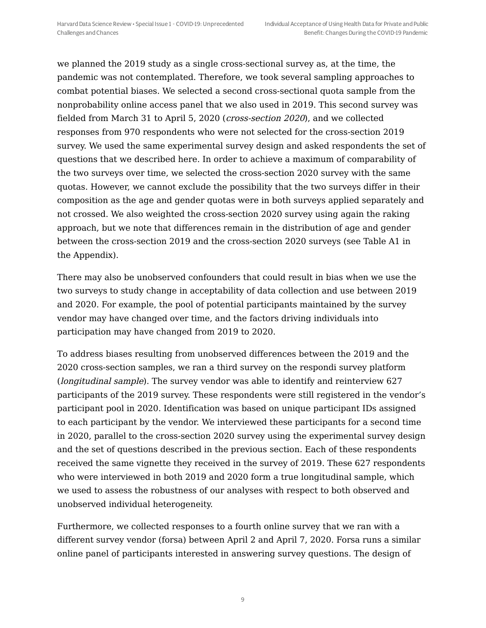we planned the 2019 study as a single cross-sectional survey as, at the time, the pandemic was not contemplated. Therefore, we took several sampling approaches to combat potential biases. We selected a second cross-sectional quota sample from the nonprobability online access panel that we also used in 2019. This second survey was fielded from March 31 to April 5, 2020 (cross-section 2020), and we collected responses from 970 respondents who were not selected for the cross-section 2019 survey. We used the same experimental survey design and asked respondents the set of questions that we described here. In order to achieve a maximum of comparability of the two surveys over time, we selected the cross-section 2020 survey with the same quotas. However, we cannot exclude the possibility that the two surveys differ in their composition as the age and gender quotas were in both surveys applied separately and not crossed. We also weighted the cross-section 2020 survey using again the raking approach, but we note that differences remain in the distribution of age and gender between the cross-section 2019 and the cross-section 2020 surveys (see Table A1 in the Appendix).

There may also be unobserved confounders that could result in bias when we use the two surveys to study change in acceptability of data collection and use between 2019 and 2020. For example, the pool of potential participants maintained by the survey vendor may have changed over time, and the factors driving individuals into participation may have changed from 2019 to 2020.

To address biases resulting from unobserved differences between the 2019 and the 2020 cross-section samples, we ran a third survey on the respondi survey platform (longitudinal sample). The survey vendor was able to identify and reinterview 627 participants of the 2019 survey. These respondents were still registered in the vendor's participant pool in 2020. Identification was based on unique participant IDs assigned to each participant by the vendor. We interviewed these participants for a second time in 2020, parallel to the cross-section 2020 survey using the experimental survey design and the set of questions described in the previous section. Each of these respondents received the same vignette they received in the survey of 2019. These 627 respondents who were interviewed in both 2019 and 2020 form a true longitudinal sample, which we used to assess the robustness of our analyses with respect to both observed and unobserved individual heterogeneity.

Furthermore, we collected responses to a fourth online survey that we ran with a different survey vendor (forsa) between April 2 and April 7, 2020. Forsa runs a similar online panel of participants interested in answering survey questions. The design of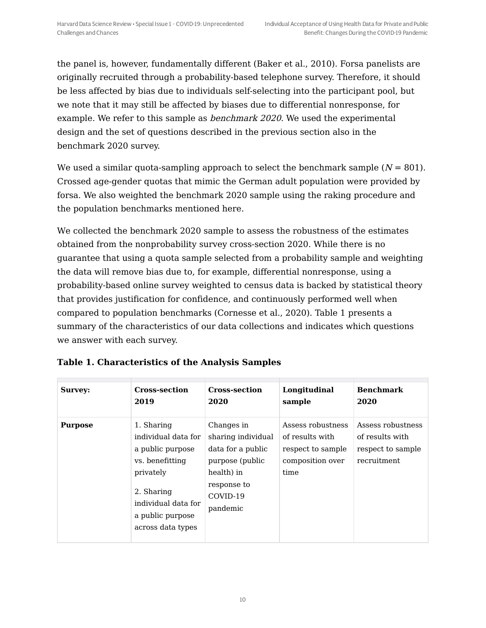the panel is, however, fundamentally different (Baker et al., 2010). Forsa panelists are originally recruited through a probability-based telephone survey. Therefore, it should be less affected by bias due to individuals self-selecting into the participant pool, but we note that it may still be affected by biases due to differential nonresponse, for example. We refer to this sample as benchmark 2020. We used the experimental design and the set of questions described in the previous section also in the benchmark 2020 survey.

We used a similar quota-sampling approach to select the benchmark sample  $(N = 801)$ . Crossed age-gender quotas that mimic the German adult population were provided by forsa. We also weighted the benchmark 2020 sample using the raking procedure and the population benchmarks mentioned here.

We collected the benchmark 2020 sample to assess the robustness of the estimates obtained from the nonprobability survey cross-section 2020. While there is no guarantee that using a quota sample selected from a probability sample and weighting the data will remove bias due to, for example, differential nonresponse, using a probability-based online survey weighted to census data is backed by statistical theory that provides justification for confidence, and continuously performed well when compared to population benchmarks (Cornesse et al., 2020). Table 1 presents a summary of the characteristics of our data collections and indicates which questions we answer with each survey.

| <b>Survey:</b> | <b>Cross-section</b>                                                                                                                                                | <b>Cross-section</b>                                                                                                          | Longitudinal                                                                          | <b>Benchmark</b>                                                         |
|----------------|---------------------------------------------------------------------------------------------------------------------------------------------------------------------|-------------------------------------------------------------------------------------------------------------------------------|---------------------------------------------------------------------------------------|--------------------------------------------------------------------------|
|                | 2019                                                                                                                                                                | 2020                                                                                                                          | sample                                                                                | 2020                                                                     |
| <b>Purpose</b> | 1. Sharing<br>individual data for<br>a public purpose<br>vs. benefitting<br>privately<br>2. Sharing<br>individual data for<br>a public purpose<br>across data types | Changes in<br>sharing individual<br>data for a public<br>purpose (public<br>health) in<br>response to<br>COVID-19<br>pandemic | Assess robustness<br>of results with<br>respect to sample<br>composition over<br>time | Assess robustness<br>of results with<br>respect to sample<br>recruitment |

|  | Table 1. Characteristics of the Analysis Samples |  |  |  |
|--|--------------------------------------------------|--|--|--|
|  |                                                  |  |  |  |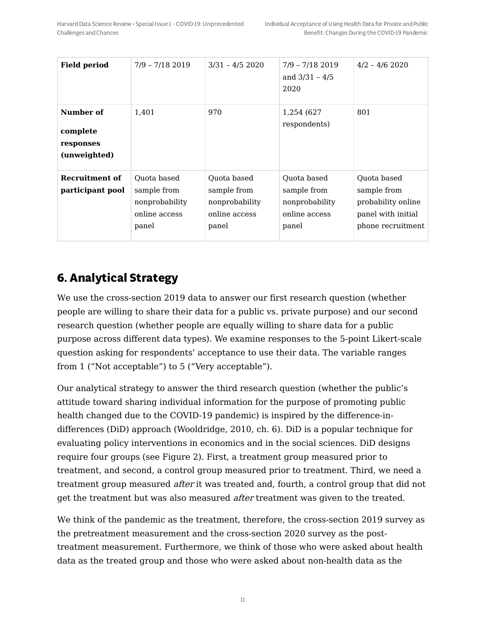| <b>Field period</b>                                | $7/9 - 7/182019$                                                       | $3/31 - 4/52020$                                                       | $7/9 - 7/182019$<br>and $3/31 - 4/5$<br>2020                           | $4/2 - 4/6$ 2020                                                                            |
|----------------------------------------------------|------------------------------------------------------------------------|------------------------------------------------------------------------|------------------------------------------------------------------------|---------------------------------------------------------------------------------------------|
| Number of<br>complete<br>responses<br>(unweighted) | 1,401                                                                  | 970                                                                    | 1,254 (627)<br>respondents)                                            | 801                                                                                         |
| Recruitment of<br>participant pool                 | Quota based<br>sample from<br>nonprobability<br>online access<br>panel | Quota based<br>sample from<br>nonprobability<br>online access<br>panel | Quota based<br>sample from<br>nonprobability<br>online access<br>panel | Quota based<br>sample from<br>probability online<br>panel with initial<br>phone recruitment |

# **6. Analytical Strategy**

We use the cross-section 2019 data to answer our first research question (whether people are willing to share their data for a public vs. private purpose) and our second research question (whether people are equally willing to share data for a public purpose across different data types). We examine responses to the 5-point Likert-scale question asking for respondents' acceptance to use their data. The variable ranges from 1 ("Not acceptable") to 5 ("Very acceptable").

Our analytical strategy to answer the third research question (whether the public's attitude toward sharing individual information for the purpose of promoting public health changed due to the COVID-19 pandemic) is inspired by the difference-indifferences (DiD) approach (Wooldridge, 2010, ch. 6). DiD is a popular technique for evaluating policy interventions in economics and in the social sciences. DiD designs require four groups (see Figure 2). First, a treatment group measured prior to treatment, and second, a control group measured prior to treatment. Third, we need a treatment group measured after it was treated and, fourth, a control group that did not get the treatment but was also measured *after* treatment was given to the treated.

We think of the pandemic as the treatment, therefore, the cross-section 2019 survey as the pretreatment measurement and the cross-section 2020 survey as the posttreatment measurement. Furthermore, we think of those who were asked about health data as the treated group and those who were asked about non-health data as the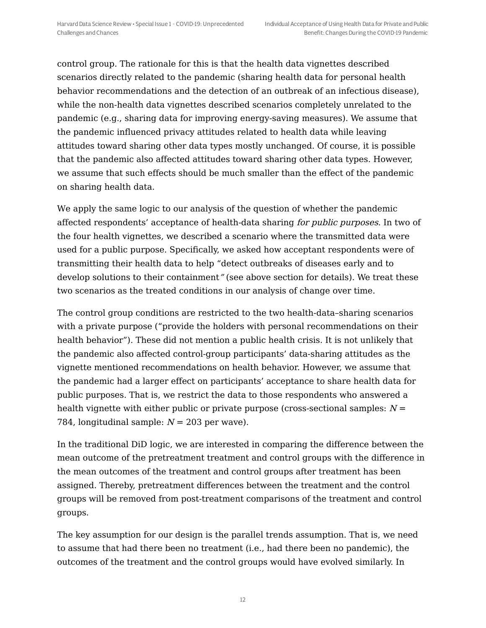control group. The rationale for this is that the health data vignettes described scenarios directly related to the pandemic (sharing health data for personal health behavior recommendations and the detection of an outbreak of an infectious disease), while the non-health data vignettes described scenarios completely unrelated to the pandemic (e.g., sharing data for improving energy-saving measures). We assume that the pandemic influenced privacy attitudes related to health data while leaving attitudes toward sharing other data types mostly unchanged. Of course, it is possible that the pandemic also affected attitudes toward sharing other data types. However, we assume that such effects should be much smaller than the effect of the pandemic on sharing health data.

We apply the same logic to our analysis of the question of whether the pandemic affected respondents' acceptance of health-data sharing for public purposes. In two of the four health vignettes, we described a scenario where the transmitted data were used for a public purpose. Specifically, we asked how acceptant respondents were of transmitting their health data to help "detect outbreaks of diseases early and to develop solutions to their containment" (see above section for details). We treat these two scenarios as the treated conditions in our analysis of change over time.

The control group conditions are restricted to the two health-data–sharing scenarios with a private purpose ("provide the holders with personal recommendations on their health behavior"). These did not mention a public health crisis. It is not unlikely that the pandemic also affected control-group participants' data-sharing attitudes as the vignette mentioned recommendations on health behavior. However, we assume that the pandemic had a larger effect on participants' acceptance to share health data for public purposes. That is, we restrict the data to those respondents who answered a health vignette with either public or private purpose (cross-sectional samples:  $N =$ 784, longitudinal sample:  $N = 203$  per wave).

In the traditional DiD logic, we are interested in comparing the difference between the mean outcome of the pretreatment treatment and control groups with the difference in the mean outcomes of the treatment and control groups after treatment has been assigned. Thereby, pretreatment differences between the treatment and the control groups will be removed from post-treatment comparisons of the treatment and control groups.

The key assumption for our design is the parallel trends assumption. That is, we need to assume that had there been no treatment (i.e., had there been no pandemic), the outcomes of the treatment and the control groups would have evolved similarly. In

12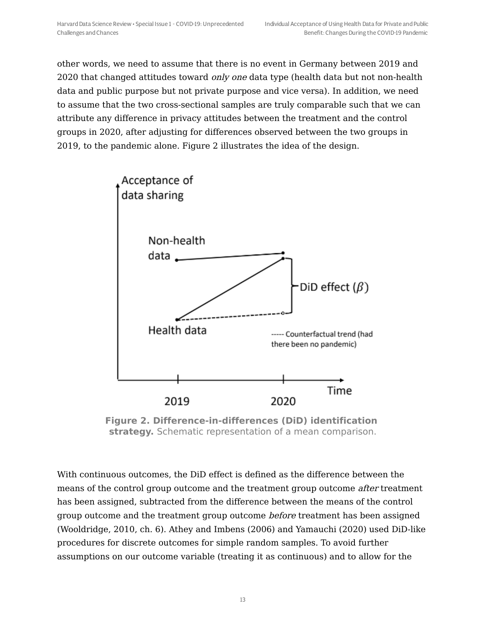other words, we need to assume that there is no event in Germany between 2019 and 2020 that changed attitudes toward only one data type (health data but not non-health data and public purpose but not private purpose and vice versa). In addition, we need to assume that the two cross-sectional samples are truly comparable such that we can attribute any difference in privacy attitudes between the treatment and the control groups in 2020, after adjusting for differences observed between the two groups in 2019, to the pandemic alone. Figure 2 illustrates the idea of the design.



**Figure 2. Difference-in-differences (DiD) identification strategy.** Schematic representation of a mean comparison.

With continuous outcomes, the DiD effect is defined as the difference between the means of the control group outcome and the treatment group outcome after treatment has been assigned, subtracted from the difference between the means of the control group outcome and the treatment group outcome before treatment has been assigned (Wooldridge, 2010, ch. 6). Athey and Imbens (2006) and Yamauchi (2020) used DiD-like procedures for discrete outcomes for simple random samples. To avoid further assumptions on our outcome variable (treating it as continuous) and to allow for the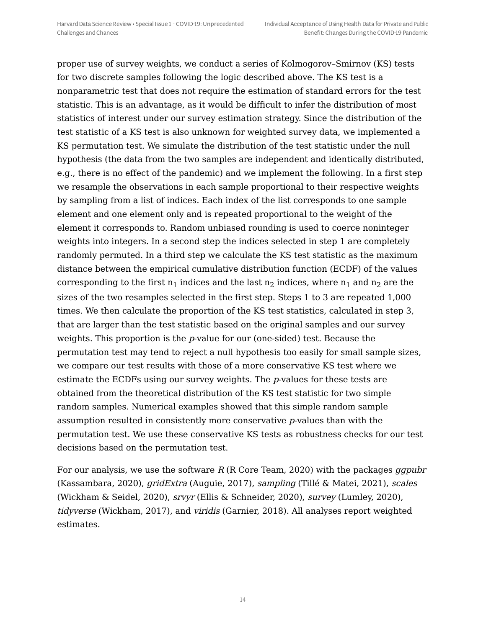proper use of survey weights, we conduct a series of Kolmogorov–Smirnov (KS) tests for two discrete samples following the logic described above. The KS test is a nonparametric test that does not require the estimation of standard errors for the test statistic. This is an advantage, as it would be difficult to infer the distribution of most statistics of interest under our survey estimation strategy. Since the distribution of the test statistic of a KS test is also unknown for weighted survey data, we implemented a KS permutation test. We simulate the distribution of the test statistic under the null hypothesis (the data from the two samples are independent and identically distributed, e.g., there is no effect of the pandemic) and we implement the following. In a first step we resample the observations in each sample proportional to their respective weights by sampling from a list of indices. Each index of the list corresponds to one sample element and one element only and is repeated proportional to the weight of the element it corresponds to. Random unbiased rounding is used to coerce noninteger weights into integers. In a second step the indices selected in step 1 are completely randomly permuted. In a third step we calculate the KS test statistic as the maximum distance between the empirical cumulative distribution function (ECDF) of the values corresponding to the first  $n_1$  indices and the last  $n_2$  indices, where  $n_1$  and  $n_2$  are the sizes of the two resamples selected in the first step. Steps 1 to 3 are repeated 1,000 times. We then calculate the proportion of the KS test statistics, calculated in step 3, that are larger than the test statistic based on the original samples and our survey weights. This proportion is the  $p$ -value for our (one-sided) test. Because the permutation test may tend to reject a null hypothesis too easily for small sample sizes, we compare our test results with those of a more conservative KS test where we estimate the ECDFs using our survey weights. The *p*-values for these tests are obtained from the theoretical distribution of the KS test statistic for two simple random samples. Numerical examples showed that this simple random sample assumption resulted in consistently more conservative p-values than with the permutation test. We use these conservative KS tests as robustness checks for our test decisions based on the permutation test.

For our analysis, we use the software  $R(R)$  Core Team, 2020) with the packages *ggpubr* (Kassambara, 2020), gridExtra (Auguie, 2017), sampling (Tillé & Matei, 2021), scales (Wickham & Seidel, 2020), srvyr (Ellis & Schneider, 2020), survey (Lumley, 2020), tidyverse (Wickham, 2017), and viridis (Garnier, 2018). All analyses report weighted estimates.

14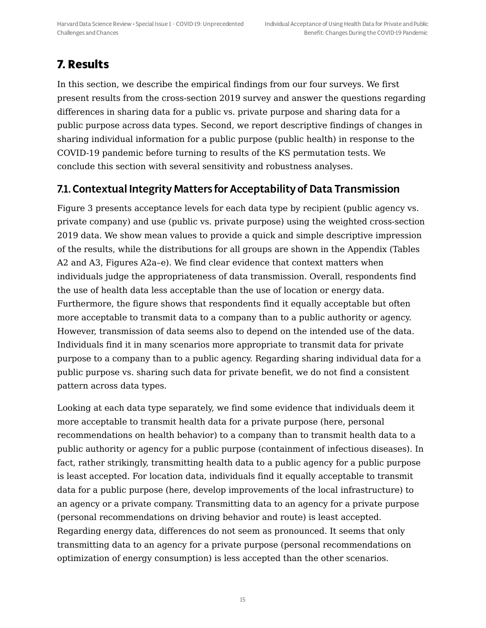# **7. Results**

In this section, we describe the empirical findings from our four surveys. We first present results from the cross-section 2019 survey and answer the questions regarding differences in sharing data for a public vs. private purpose and sharing data for a public purpose across data types. Second, we report descriptive findings of changes in sharing individual information for a public purpose (public health) in response to the COVID-19 pandemic before turning to results of the KS permutation tests. We conclude this section with several sensitivity and robustness analyses.

## 7.1. Contextual Integrity Matters for Acceptability of Data Transmission

Figure 3 presents acceptance levels for each data type by recipient (public agency vs. private company) and use (public vs. private purpose) using the weighted cross-section 2019 data. We show mean values to provide a quick and simple descriptive impression of the results, while the distributions for all groups are shown in the Appendix (Tables A2 and A3, Figures A2a–e). We find clear evidence that context matters when individuals judge the appropriateness of data transmission. Overall, respondents find the use of health data less acceptable than the use of location or energy data. Furthermore, the figure shows that respondents find it equally acceptable but often more acceptable to transmit data to a company than to a public authority or agency. However, transmission of data seems also to depend on the intended use of the data. Individuals find it in many scenarios more appropriate to transmit data for private purpose to a company than to a public agency. Regarding sharing individual data for a public purpose vs. sharing such data for private benefit, we do not find a consistent pattern across data types.

Looking at each data type separately, we find some evidence that individuals deem it more acceptable to transmit health data for a private purpose (here, personal recommendations on health behavior) to a company than to transmit health data to a public authority or agency for a public purpose (containment of infectious diseases). In fact, rather strikingly, transmitting health data to a public agency for a public purpose is least accepted. For location data, individuals find it equally acceptable to transmit data for a public purpose (here, develop improvements of the local infrastructure) to an agency or a private company. Transmitting data to an agency for a private purpose (personal recommendations on driving behavior and route) is least accepted. Regarding energy data, differences do not seem as pronounced. It seems that only transmitting data to an agency for a private purpose (personal recommendations on optimization of energy consumption) is less accepted than the other scenarios.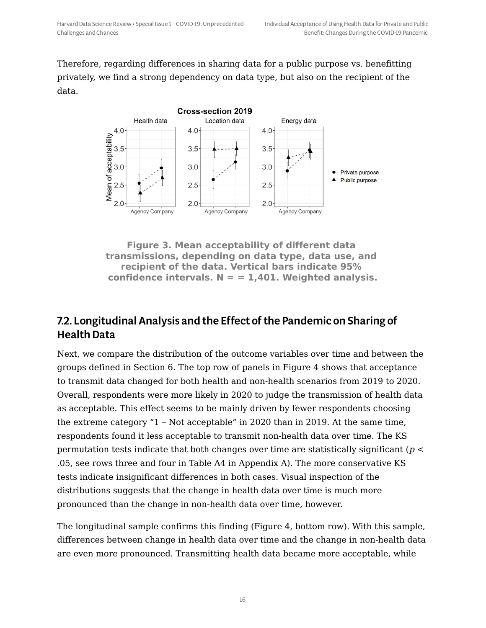Therefore, regarding differences in sharing data for a public purpose vs. benefitting privately, we find a strong dependency on data type, but also on the recipient of the data.



**Figure 3. Mean acceptability of different data transmissions, depending on data type, data use, and recipient of the data. Vertical bars indicate 95% confidence intervals. N = = 1,401. Weighted analysis.**

## 7.2. Longitudinal Analysis and the Effect of the Pandemic on Sharing of Health Data

Next, we compare the distribution of the outcome variables over time and between the groups defined in Section 6. The top row of panels in Figure 4 shows that acceptance to transmit data changed for both health and non-health scenarios from 2019 to 2020. Overall, respondents were more likely in 2020 to judge the transmission of health data as acceptable. This effect seems to be mainly driven by fewer respondents choosing the extreme category "1 – Not acceptable" in 2020 than in 2019. At the same time, respondents found it less acceptable to transmit non-health data over time. The KS permutation tests indicate that both changes over time are statistically significant ( $p <$ .05, see rows three and four in Table A4 in Appendix A). The more conservative KS tests indicate insignificant differences in both cases. Visual inspection of the distributions suggests that the change in health data over time is much more pronounced than the change in non-health data over time, however.

The longitudinal sample confirms this finding (Figure 4, bottom row). With this sample, differences between change in health data over time and the change in non-health data are even more pronounced. Transmitting health data became more acceptable, while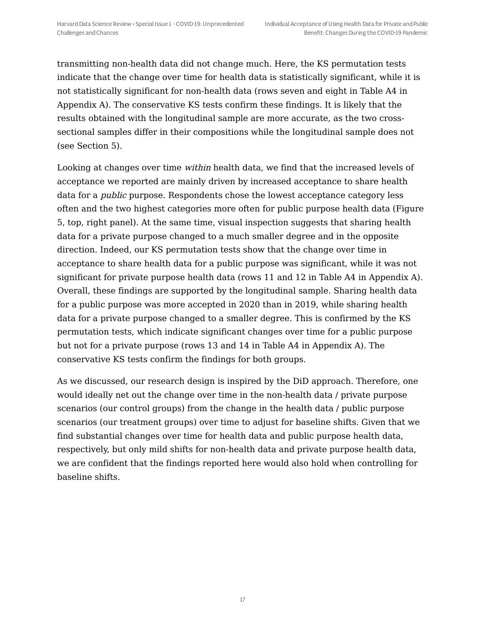transmitting non-health data did not change much. Here, the KS permutation tests indicate that the change over time for health data is statistically significant, while it is not statistically significant for non-health data (rows seven and eight in Table A4 in Appendix A). The conservative KS tests confirm these findings. It is likely that the results obtained with the longitudinal sample are more accurate, as the two crosssectional samples differ in their compositions while the longitudinal sample does not (see Section 5).

Looking at changes over time within health data, we find that the increased levels of acceptance we reported are mainly driven by increased acceptance to share health data for a public purpose. Respondents chose the lowest acceptance category less often and the two highest categories more often for public purpose health data (Figure 5, top, right panel). At the same time, visual inspection suggests that sharing health data for a private purpose changed to a much smaller degree and in the opposite direction. Indeed, our KS permutation tests show that the change over time in acceptance to share health data for a public purpose was significant, while it was not significant for private purpose health data (rows 11 and 12 in Table A4 in Appendix A). Overall, these findings are supported by the longitudinal sample. Sharing health data for a public purpose was more accepted in 2020 than in 2019, while sharing health data for a private purpose changed to a smaller degree. This is confirmed by the KS permutation tests, which indicate significant changes over time for a public purpose but not for a private purpose (rows 13 and 14 in Table A4 in Appendix A). The conservative KS tests confirm the findings for both groups.

As we discussed, our research design is inspired by the DiD approach. Therefore, one would ideally net out the change over time in the non-health data / private purpose scenarios (our control groups) from the change in the health data / public purpose scenarios (our treatment groups) over time to adjust for baseline shifts. Given that we find substantial changes over time for health data and public purpose health data, respectively, but only mild shifts for non-health data and private purpose health data, we are confident that the findings reported here would also hold when controlling for baseline shifts.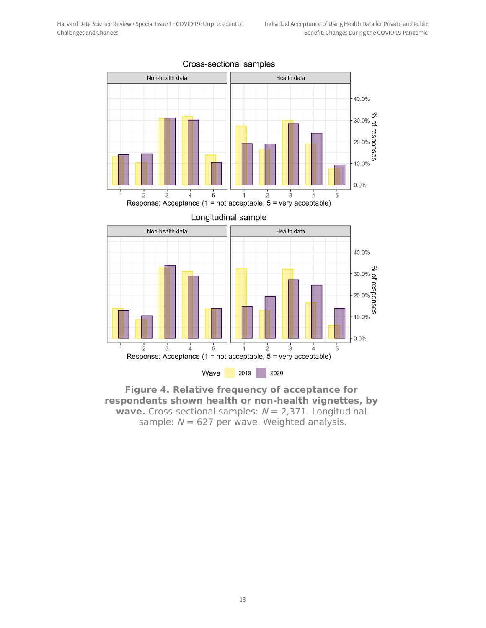

#### Cross-sectional samples



#### **Figure 4. Relative frequency of acceptance for respondents shown health or non-health vignettes, by wave.** Cross-sectional samples:  $N = 2,371$ . Longitudinal sample:  $N = 627$  per wave. Weighted analysis.

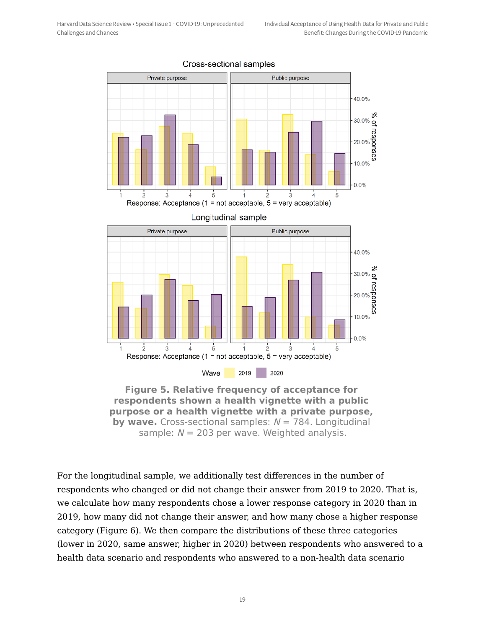

#### Cross-sectional samples

**Figure 5. Relative frequency of acceptance for respondents shown a health vignette with a public purpose or a health vignette with a private purpose, by wave.** Cross-sectional samples:  $N = 784$ . Longitudinal sample:  $N = 203$  per wave. Weighted analysis.

For the longitudinal sample, we additionally test differences in the number of respondents who changed or did not change their answer from 2019 to 2020. That is, we calculate how many respondents chose a lower response category in 2020 than in 2019, how many did not change their answer, and how many chose a higher response category (Figure 6). We then compare the distributions of these three categories (lower in 2020, same answer, higher in 2020) between respondents who answered to a health data scenario and respondents who answered to a non-health data scenario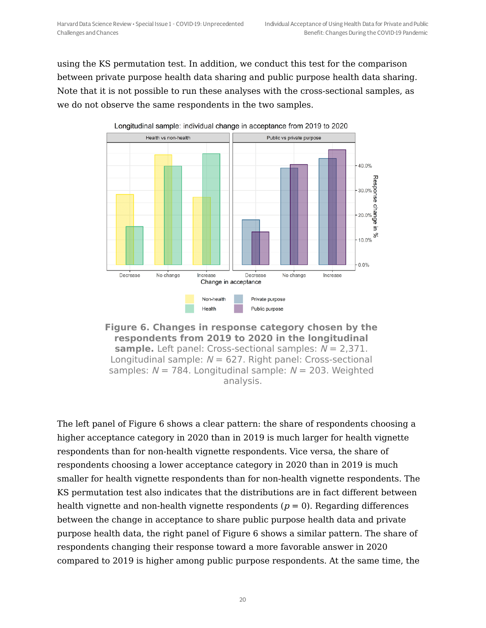using the KS permutation test. In addition, we conduct this test for the comparison between private purpose health data sharing and public purpose health data sharing. Note that it is not possible to run these analyses with the cross-sectional samples, as we do not observe the same respondents in the two samples.



**Figure 6. Changes in response category chosen by the respondents from 2019 to 2020 in the longitudinal sample.** Left panel: Cross-sectional samples:  $N = 2,371$ . Longitudinal sample:  $N = 627$ . Right panel: Cross-sectional samples:  $N = 784$ . Longitudinal sample:  $N = 203$ . Weighted analysis.

The left panel of Figure 6 shows a clear pattern: the share of respondents choosing a higher acceptance category in 2020 than in 2019 is much larger for health vignette respondents than for non-health vignette respondents. Vice versa, the share of respondents choosing a lower acceptance category in 2020 than in 2019 is much smaller for health vignette respondents than for non-health vignette respondents. The KS permutation test also indicates that the distributions are in fact different between health vignette and non-health vignette respondents ( $p = 0$ ). Regarding differences between the change in acceptance to share public purpose health data and private purpose health data, the right panel of Figure 6 shows a similar pattern. The share of respondents changing their response toward a more favorable answer in 2020 compared to 2019 is higher among public purpose respondents. At the same time, the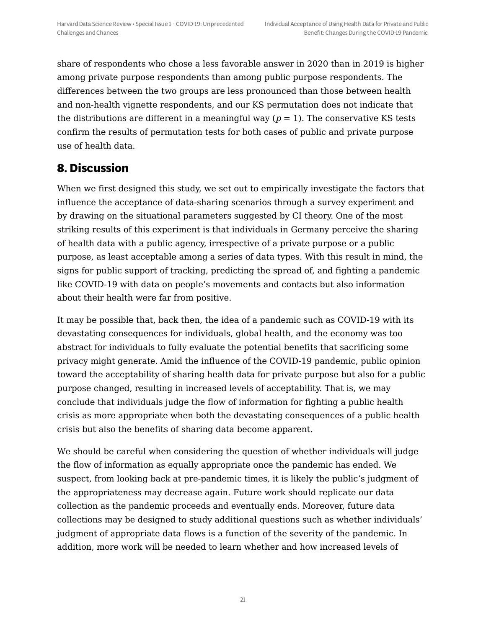share of respondents who chose a less favorable answer in 2020 than in 2019 is higher among private purpose respondents than among public purpose respondents. The differences between the two groups are less pronounced than those between health and non-health vignette respondents, and our KS permutation does not indicate that the distributions are different in a meaningful way ( $p = 1$ ). The conservative KS tests confirm the results of permutation tests for both cases of public and private purpose use of health data.

## **8. Discussion**

When we first designed this study, we set out to empirically investigate the factors that influence the acceptance of data-sharing scenarios through a survey experiment and by drawing on the situational parameters suggested by CI theory. One of the most striking results of this experiment is that individuals in Germany perceive the sharing of health data with a public agency, irrespective of a private purpose or a public purpose, as least acceptable among a series of data types. With this result in mind, the signs for public support of tracking, predicting the spread of, and fighting a pandemic like COVID-19 with data on people's movements and contacts but also information about their health were far from positive.

It may be possible that, back then, the idea of a pandemic such as COVID-19 with its devastating consequences for individuals, global health, and the economy was too abstract for individuals to fully evaluate the potential benefits that sacrificing some privacy might generate. Amid the influence of the COVID-19 pandemic, public opinion toward the acceptability of sharing health data for private purpose but also for a public purpose changed, resulting in increased levels of acceptability. That is, we may conclude that individuals judge the flow of information for fighting a public health crisis as more appropriate when both the devastating consequences of a public health crisis but also the benefits of sharing data become apparent.

We should be careful when considering the question of whether individuals will judge the flow of information as equally appropriate once the pandemic has ended. We suspect, from looking back at pre-pandemic times, it is likely the public's judgment of the appropriateness may decrease again. Future work should replicate our data collection as the pandemic proceeds and eventually ends. Moreover, future data collections may be designed to study additional questions such as whether individuals' judgment of appropriate data flows is a function of the severity of the pandemic. In addition, more work will be needed to learn whether and how increased levels of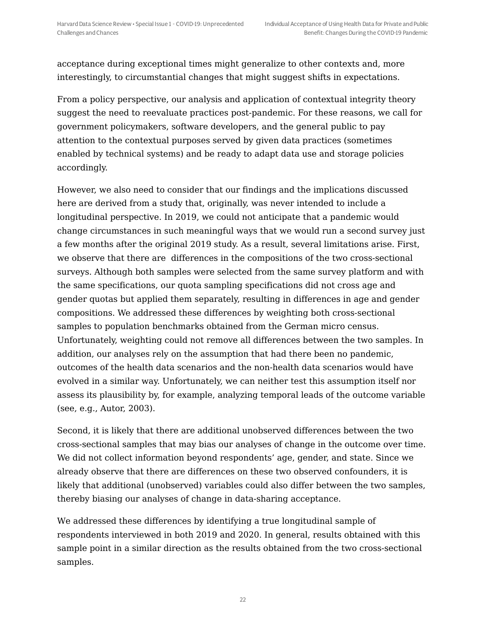acceptance during exceptional times might generalize to other contexts and, more interestingly, to circumstantial changes that might suggest shifts in expectations.

From a policy perspective, our analysis and application of contextual integrity theory suggest the need to reevaluate practices post-pandemic. For these reasons, we call for government policymakers, software developers, and the general public to pay attention to the contextual purposes served by given data practices (sometimes enabled by technical systems) and be ready to adapt data use and storage policies accordingly.

However, we also need to consider that our findings and the implications discussed here are derived from a study that, originally, was never intended to include a longitudinal perspective. In 2019, we could not anticipate that a pandemic would change circumstances in such meaningful ways that we would run a second survey just a few months after the original 2019 study. As a result, several limitations arise. First, we observe that there are differences in the compositions of the two cross-sectional surveys. Although both samples were selected from the same survey platform and with the same specifications, our quota sampling specifications did not cross age and gender quotas but applied them separately, resulting in differences in age and gender compositions. We addressed these differences by weighting both cross-sectional samples to population benchmarks obtained from the German micro census. Unfortunately, weighting could not remove all differences between the two samples. In addition, our analyses rely on the assumption that had there been no pandemic, outcomes of the health data scenarios and the non-health data scenarios would have evolved in a similar way. Unfortunately, we can neither test this assumption itself nor assess its plausibility by, for example, analyzing temporal leads of the outcome variable (see, e.g., Autor, 2003).

Second, it is likely that there are additional unobserved differences between the two cross-sectional samples that may bias our analyses of change in the outcome over time. We did not collect information beyond respondents' age, gender, and state. Since we already observe that there are differences on these two observed confounders, it is likely that additional (unobserved) variables could also differ between the two samples, thereby biasing our analyses of change in data-sharing acceptance.

We addressed these differences by identifying a true longitudinal sample of respondents interviewed in both 2019 and 2020. In general, results obtained with this sample point in a similar direction as the results obtained from the two cross-sectional samples.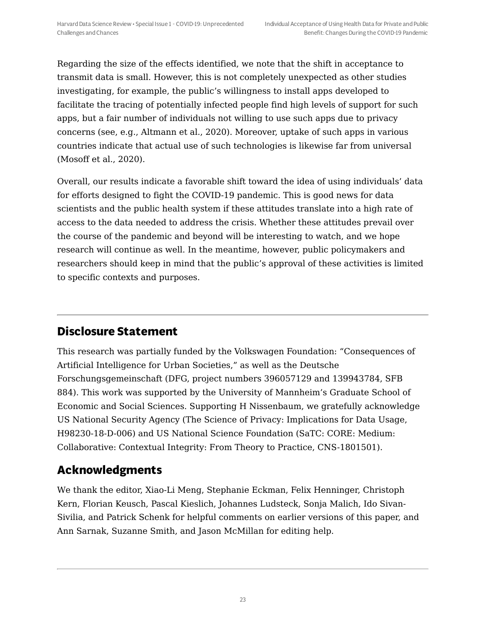Regarding the size of the effects identified, we note that the shift in acceptance to transmit data is small. However, this is not completely unexpected as other studies investigating, for example, the public's willingness to install apps developed to facilitate the tracing of potentially infected people find high levels of support for such apps, but a fair number of individuals not willing to use such apps due to privacy concerns (see, e.g., Altmann et al., 2020). Moreover, uptake of such apps in various countries indicate that actual use of such technologies is likewise far from universal (Mosoff et al., 2020).

Overall, our results indicate a favorable shift toward the idea of using individuals' data for efforts designed to fight the COVID-19 pandemic. This is good news for data scientists and the public health system if these attitudes translate into a high rate of access to the data needed to address the crisis. Whether these attitudes prevail over the course of the pandemic and beyond will be interesting to watch, and we hope research will continue as well. In the meantime, however, public policymakers and researchers should keep in mind that the public's approval of these activities is limited to specific contexts and purposes.

# **Disclosure Statement**

This research was partially funded by the Volkswagen Foundation: "Consequences of Artificial Intelligence for Urban Societies," as well as the Deutsche Forschungsgemeinschaft (DFG, project numbers 396057129 and 139943784, SFB 884). This work was supported by the University of Mannheim's Graduate School of Economic and Social Sciences. Supporting H Nissenbaum, we gratefully acknowledge US National Security Agency (The Science of Privacy: Implications for Data Usage, H98230-18-D-006) and US National Science Foundation (SaTC: CORE: Medium: Collaborative: Contextual Integrity: From Theory to Practice, CNS-1801501).

# **Acknowledgments**

We thank the editor, Xiao-Li Meng, Stephanie Eckman, Felix Henninger, Christoph Kern, Florian Keusch, Pascal Kieslich, Johannes Ludsteck, Sonja Malich, Ido Sivan-Sivilia, and Patrick Schenk for helpful comments on earlier versions of this paper, and Ann Sarnak, Suzanne Smith, and Jason McMillan for editing help.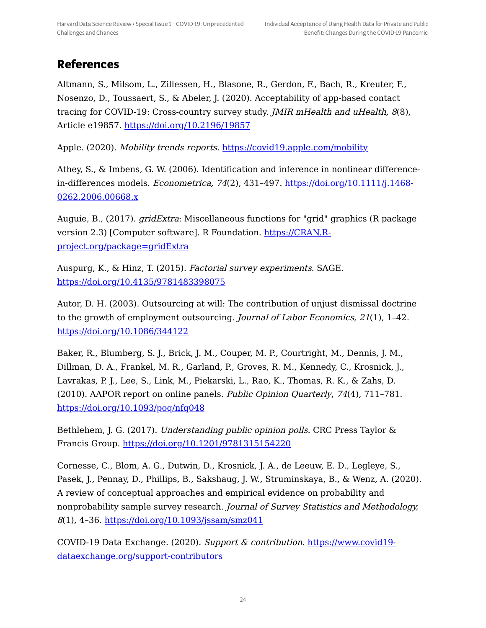## **References**

Altmann, S., Milsom, L., Zillessen, H., Blasone, R., Gerdon, F., Bach, R., Kreuter, F., Nosenzo, D., Toussaert, S., & Abeler, J. (2020). Acceptability of app-based contact tracing for COVID-19: Cross-country survey study. *JMIR mHealth and uHealth, 8*(8), Article e19857. <https://doi.org/10.2196/19857>

Apple. (2020). Mobility trends reports. <https://covid19.apple.com/mobility>

Athey, S., & Imbens, G. W. (2006). Identification and inference in nonlinear differencein-differences models. Econometrica, 74(2), 431–497. [https://doi.org/10.1111/j.1468-](https://doi.org/10.1111/j.1468-0262.2006.00668.x) 0262.2006.00668.x

Auguie, B., (2017). gridExtra: Miscellaneous functions for "grid" graphics (R package version 2.3) [Computer software]. R Foundation. https://CRAN.R[project.org/package=gridExtra](https://cran.r-project.org/package=gridExtra)

Auspurg, K., & Hinz, T. (2015). Factorial survey experiments. SAGE. <https://doi.org/10.4135/9781483398075>

Autor, D. H. (2003). Outsourcing at will: The contribution of unjust dismissal doctrine to the growth of employment outsourcing. Journal of Labor Economics, 21(1), 1–42. <https://doi.org/10.1086/344122>

Baker, R., Blumberg, S. J., Brick, J. M., Couper, M. P., Courtright, M., Dennis, J. M., Dillman, D. A., Frankel, M. R., Garland, P., Groves, R. M., Kennedy, C., Krosnick, J., Lavrakas, P. J., Lee, S., Link, M., Piekarski, L., Rao, K., Thomas, R. K., & Zahs, D. (2010). AAPOR report on online panels. Public Opinion Quarterly, 74(4), 711–781. <https://doi.org/10.1093/poq/nfq048>

Bethlehem, J. G. (2017). *Understanding public opinion polls*. CRC Press Taylor & Francis Group. <https://doi.org/10.1201/9781315154220>

Cornesse, C., Blom, A. G., Dutwin, D., Krosnick, J. A., de Leeuw, E. D., Legleye, S., Pasek, J., Pennay, D., Phillips, B., Sakshaug, J. W., Struminskaya, B., & Wenz, A. (2020). A review of conceptual approaches and empirical evidence on probability and nonprobability sample survey research. Journal of Survey Statistics and Methodology, 8(1), 4–36. <https://doi.org/10.1093/jssam/smz041>

COVID-19 Data Exchange. (2020). Support & contribution. https://www.covid19 [dataexchange.org/support-contributors](https://www.covid19-dataexchange.org/support-contributors)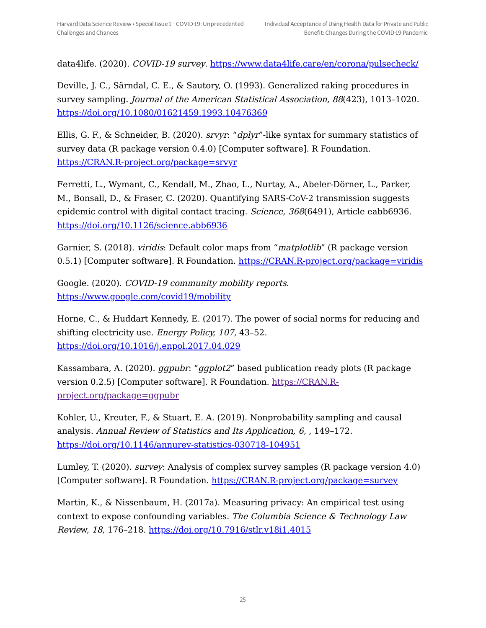data4life. (2020). COVID-19 survey. <https://www.data4life.care/en/corona/pulsecheck/>

Deville, J. C., Särndal, C. E., & Sautory, O. (1993). Generalized raking procedures in survey sampling. Journal of the American Statistical Association, 88(423), 1013–1020. <https://doi.org/10.1080/01621459.1993.10476369>

Ellis, G. F., & Schneider, B. (2020). srvyr: "dplyr"-like syntax for summary statistics of survey data (R package version 0.4.0) [Computer software]. R Foundation. [https://CRAN.R-project.org/package=srvyr](https://cran.r-project.org/package=srvyr)

Ferretti, L., Wymant, C., Kendall, M., Zhao, L., Nurtay, A., Abeler-Dörner, L., Parker, M., Bonsall, D., & Fraser, C. (2020). Quantifying SARS-CoV-2 transmission suggests epidemic control with digital contact tracing. Science, 368(6491), Article eabb6936. <https://doi.org/10.1126/science.abb6936>

Garnier, S. (2018). *viridis*: Default color maps from "*matplotlib*" (R package version 0.5.1) [Computer software]. R Foundation. [https://CRAN.R-project.org/package=viridis](https://cran.r-project.org/package=viridis)

Google. (2020). COVID-19 community mobility reports. <https://www.google.com/covid19/mobility>

Horne, C., & Huddart Kennedy, E. (2017). The power of social norms for reducing and shifting electricity use. Energy Policy, 107, 43–52. <https://doi.org/10.1016/j.enpol.2017.04.029>

Kassambara, A. (2020). ggpubr: "ggplot2" based publication ready plots (R package version 0.2.5) [Computer software]. R Foundation. https://CRAN.R[project.org/package=ggpubr](file:///tmp/tmp-51YzrXTqCs2lRv.html)

Kohler, U., Kreuter, F., & Stuart, E. A. (2019). Nonprobability sampling and causal analysis. Annual Review of Statistics and Its Application, 6, , 149–172. <https://doi.org/10.1146/annurev-statistics-030718-104951>

Lumley, T. (2020). survey: Analysis of complex survey samples (R package version 4.0) [Computer software]. R Foundation. [https://CRAN.R-project.org/package=survey](https://cran.r-project.org/package=survey)

Martin, K., & Nissenbaum, H. (2017a). Measuring privacy: An empirical test using context to expose confounding variables. The Columbia Science & Technology Law Review, 18, 176–218. <https://doi.org/10.7916/stlr.v18i1.4015>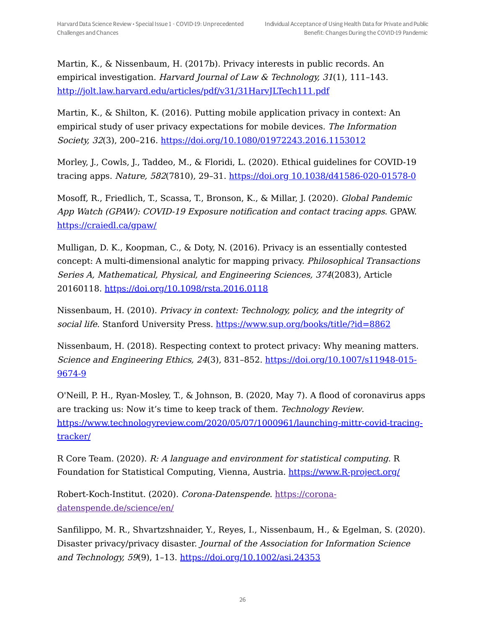Martin, K., & Nissenbaum, H. (2017b). Privacy interests in public records. An empirical investigation. Harvard Journal of Law & Technology, 31(1), 111–143. <http://jolt.law.harvard.edu/articles/pdf/v31/31HarvJLTech111.pdf>

Martin, K., & Shilton, K. (2016). Putting mobile application privacy in context: An empirical study of user privacy expectations for mobile devices. The Information Society, 32(3), 200-216. <https://doi.org/10.1080/01972243.2016.1153012>

Morley, J., Cowls, J., Taddeo, M., & Floridi, L. (2020). Ethical guidelines for COVID-19 tracing apps. Nature, 582(7810), 29–31. https://doi.org [10.1038/d41586-020-01578-0](https://doi.org%2010.1038/d41586-020-01578-0)

Mosoff, R., Friedlich, T., Scassa, T., Bronson, K., & Millar, J. (2020). Global Pandemic App Watch (GPAW): COVID-19 Exposure notification and contact tracing apps. GPAW. <https://craiedl.ca/gpaw/>

Mulligan, D. K., Koopman, C., & Doty, N. (2016). Privacy is an essentially contested concept: A multi-dimensional analytic for mapping privacy. Philosophical Transactions Series A, Mathematical, Physical, and Engineering Sciences, 374(2083), Article 20160118. <https://doi.org/10.1098/rsta.2016.0118>

Nissenbaum, H. (2010). Privacy in context: Technology, policy, and the integrity of social life. Stanford University Press. <https://www.sup.org/books/title/?id=8862>

Nissenbaum, H. (2018). Respecting context to protect privacy: Why meaning matters. Science and Engineering Ethics, 24(3), 831–852. [https://doi.org/10.1007/s11948-015-](https://doi.org/10.1007/s11948-015-9674-9) 9674-9

O'Neill, P. H., Ryan-Mosley, T., & Johnson, B. (2020, May 7). A flood of coronavirus apps are tracking us: Now it's time to keep track of them. Technology Review. [https://www.technologyreview.com/2020/05/07/1000961/launching-mittr-covid-tracing](https://www.technologyreview.com/2020/05/07/1000961/launching-mittr-covid-tracing-tracker/)tracker/

R Core Team. (2020). R: A language and environment for statistical computing. R Foundation for Statistical Computing, Vienna, Austria. [https://www.R-project.org/](https://www.r-project.org/)

Robert-Koch-Institut. (2020). Corona-Datenspende. https://corona[datenspende.de/science/en/](file:///tmp/tmp-51YzrXTqCs2lRv.html)

Sanfilippo, M. R., Shvartzshnaider, Y., Reyes, I., Nissenbaum, H., & Egelman, S. (2020). Disaster privacy/privacy disaster. Journal of the Association for Information Science and Technology, 59(9), 1-13. <https://doi.org/10.1002/asi.24353>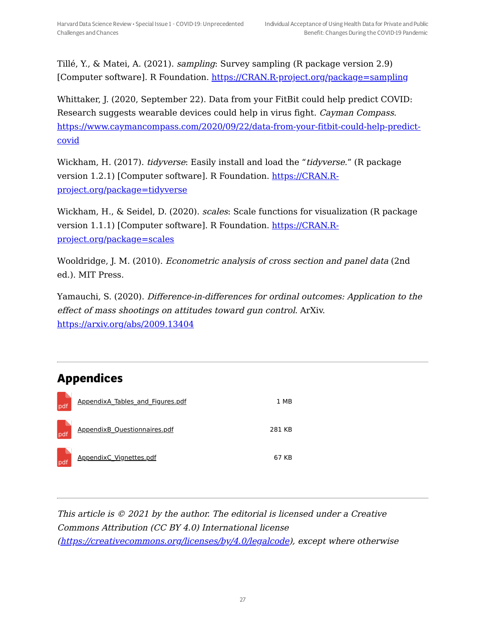Tillé, Y., & Matei, A. (2021). sampling: Survey sampling (R package version 2.9) [Computer software]. R Foundation. [https://CRAN.R-project.org/package=sampling](https://cran.r-project.org/package=sampling)

Whittaker, J. (2020, September 22). Data from your FitBit could help predict COVID: Research suggests wearable devices could help in virus fight. Cayman Compass. [https://www.caymancompass.com/2020/09/22/data-from-your-fitbit-could-help-predict](https://www.caymancompass.com/2020/09/22/data-from-your-fitbit-could-help-predict-covid)covid

Wickham, H. (2017). *tidyverse*: Easily install and load the "*tidyverse*." (R package version 1.2.1) [Computer software]. R Foundation. https://CRAN.R[project.org/package=tidyverse](https://cran.r-project.org/package=tidyverse)

Wickham, H., & Seidel, D. (2020). *scales*: Scale functions for visualization (R package version 1.1.1) [Computer software]. R Foundation. https://CRAN.R[project.org/package=scales](https://cran.r-project.org/package=scales)

Wooldridge, J. M. (2010). Econometric analysis of cross section and panel data (2nd ed.). MIT Press.

Yamauchi, S. (2020). Difference-in-differences for ordinal outcomes: Application to the effect of mass shootings on attitudes toward gun control. ArXiv. <https://arxiv.org/abs/2009.13404>

# **Appendices**

| pdf | AppendixA Tables and Figures.pdf    | 1 MB   |
|-----|-------------------------------------|--------|
| pdf | <b>AppendixB Questionnaires.pdf</b> | 281 KB |
| pdf | AppendixC Vignettes.pdf             | 67 KB  |

This article is © 2021 by the author. The editorial is licensed under <sup>a</sup> Creative Commons Attribution (CC BY 4.0) International license [\(https://creativecommons.org/licenses/by/4.0/legalcode](https://creativecommons.org/licenses/by/4.0/legalcode)), except where otherwise